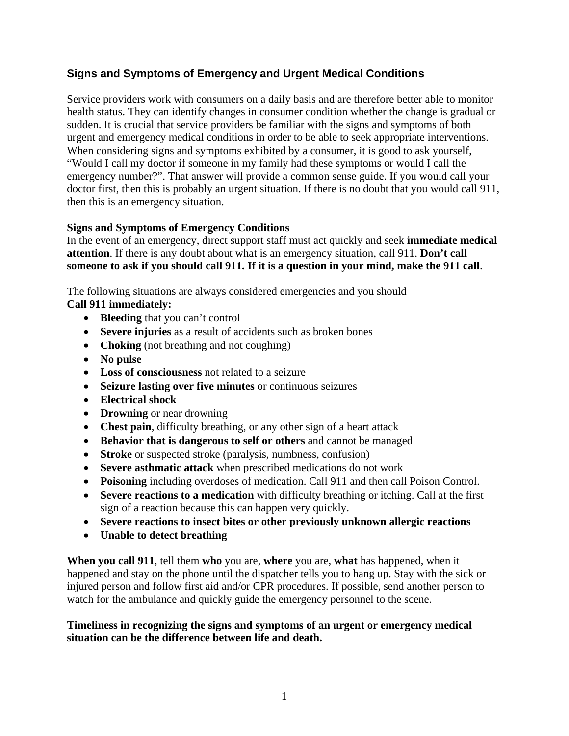# **Signs and Symptoms of Emergency and Urgent Medical Conditions**

Service providers work with consumers on a daily basis and are therefore better able to monitor health status. They can identify changes in consumer condition whether the change is gradual or sudden. It is crucial that service providers be familiar with the signs and symptoms of both urgent and emergency medical conditions in order to be able to seek appropriate interventions. When considering signs and symptoms exhibited by a consumer, it is good to ask yourself, "Would I call my doctor if someone in my family had these symptoms or would I call the emergency number?". That answer will provide a common sense guide. If you would call your doctor first, then this is probably an urgent situation. If there is no doubt that you would call 911, then this is an emergency situation.

## **Signs and Symptoms of Emergency Conditions**

In the event of an emergency, direct support staff must act quickly and seek **immediate medical attention**. If there is any doubt about what is an emergency situation, call 911. **Don't call someone to ask if you should call 911. If it is a question in your mind, make the 911 call**.

The following situations are always considered emergencies and you should **Call 911 immediately:**

- **Bleeding** that you can't control
- **Severe injuries** as a result of accidents such as broken bones
- **Choking** (not breathing and not coughing)
- **No pulse**
- **Loss of consciousness** not related to a seizure
- **Seizure lasting over five minutes** or continuous seizures
- **Electrical shock**
- **Drowning** or near drowning
- **Chest pain**, difficulty breathing, or any other sign of a heart attack
- **Behavior that is dangerous to self or others** and cannot be managed
- **Stroke** or suspected stroke (paralysis, numbness, confusion)
- **Severe asthmatic attack** when prescribed medications do not work
- **Poisoning** including overdoses of medication. Call 911 and then call Poison Control.
- **Severe reactions to a medication** with difficulty breathing or itching. Call at the first sign of a reaction because this can happen very quickly.
- **Severe reactions to insect bites or other previously unknown allergic reactions**
- **Unable to detect breathing**

**When you call 911**, tell them **who** you are, **where** you are, **what** has happened, when it happened and stay on the phone until the dispatcher tells you to hang up. Stay with the sick or injured person and follow first aid and/or CPR procedures. If possible, send another person to watch for the ambulance and quickly guide the emergency personnel to the scene.

#### **Timeliness in recognizing the signs and symptoms of an urgent or emergency medical situation can be the difference between life and death.**